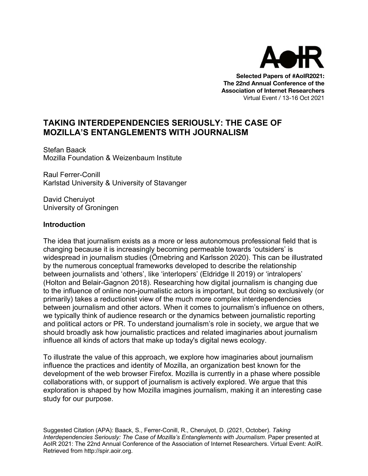

**Selected Papers of #AoIR2021: The 22nd Annual Conference of the Association of Internet Researchers** Virtual Event / 13-16 Oct 2021

# **TAKING INTERDEPENDENCIES SERIOUSLY: THE CASE OF MOZILLA'S ENTANGLEMENTS WITH JOURNALISM**

Stefan Baack Mozilla Foundation & Weizenbaum Institute

Raul Ferrer-Conill Karlstad University & University of Stavanger

David Cheruiyot University of Groningen

#### **Introduction**

The idea that journalism exists as a more or less autonomous professional field that is changing because it is increasingly becoming permeable towards 'outsiders' is widespread in journalism studies (Örnebring and Karlsson 2020). This can be illustrated by the numerous conceptual frameworks developed to describe the relationship between journalists and 'others', like 'interlopers' (Eldridge II 2019) or 'intralopers' (Holton and Belair-Gagnon 2018). Researching how digital journalism is changing due to the influence of online non-journalistic actors is important, but doing so exclusively (or primarily) takes a reductionist view of the much more complex interdependencies between journalism and other actors. When it comes to journalism's influence on others, we typically think of audience research or the dynamics between journalistic reporting and political actors or PR. To understand journalism's role in society, we argue that we should broadly ask how journalistic practices and related imaginaries about journalism influence all kinds of actors that make up today's digital news ecology.

To illustrate the value of this approach, we explore how imaginaries about journalism influence the practices and identity of Mozilla, an organization best known for the development of the web browser Firefox. Mozilla is currently in a phase where possible collaborations with, or support of journalism is actively explored. We argue that this exploration is shaped by how Mozilla imagines journalism, making it an interesting case study for our purpose.

Suggested Citation (APA): Baack, S., Ferrer-Conill, R., Cheruiyot, D. (2021, October). *Taking Interdependencies Seriously: The Case of Mozilla's Entanglements with Journalism*. Paper presented at AoIR 2021: The 22nd Annual Conference of the Association of Internet Researchers. Virtual Event: AoIR. Retrieved from http://spir.aoir.org.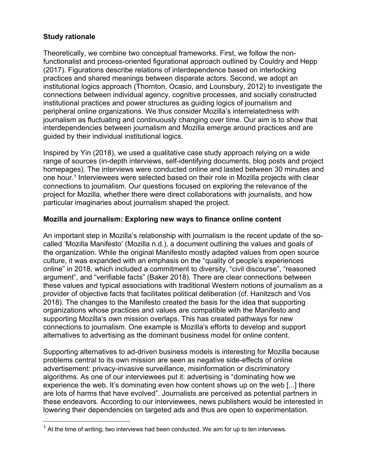## **Study rationale**

Theoretically, we combine two conceptual frameworks. First, we follow the nonfunctionalist and process-oriented figurational approach outlined by Couldry and Hepp (2017). Figurations describe relations of interdependence based on interlocking practices and shared meanings between disparate actors. Second, we adopt an institutional logics approach (Thornton, Ocasio, and Lounsbury, 2012) to investigate the connections between individual agency, cognitive processes, and socially constructed institutional practices and power structures as guiding logics of journalism and peripheral online organizations. We thus consider Mozilla's interrelatedness with journalism as fluctuating and continuously changing over time. Our aim is to show that interdependencies between journalism and Mozilla emerge around practices and are guided by their individual institutional logics.

Inspired by Yin (2018), we used a qualitative case study approach relying on a wide range of sources (in-depth interviews, self-identifying documents, blog posts and project homepages). The interviews were conducted online and lasted between 30 minutes and one hour.<sup>1</sup> Interviewees were selected based on their role in Mozilla projects with clear connections to journalism. Our questions focused on exploring the relevance of the project for Mozilla, whether there were direct collaborations with journalists, and how particular imaginaries about journalism shaped the project.

### **Mozilla and journalism: Exploring new ways to finance online content**

An important step in Mozilla's relationship with journalism is the recent update of the socalled 'Mozilla Manifesto' (Mozilla n.d.), a document outlining the values and goals of the organization. While the original Manifesto mostly adapted values from open source culture, it was expanded with an emphasis on the "quality of people's experiences online" in 2018, which included a commitment to diversity, "civil discourse", "reasoned argument", and "verifiable facts" (Baker 2018). There are clear connections between these values and typical associations with traditional Western notions of journalism as a provider of objective facts that facilitates political deliberation (cf. Hanitzsch and Vos 2018). The changes to the Manifesto created the basis for the idea that supporting organizations whose practices and values are compatible with the Manifesto and supporting Mozilla's own mission overlaps. This has created pathways for new connections to journalism. One example is Mozilla's efforts to develop and support alternatives to advertising as the dominant business model for online content.

Supporting alternatives to ad-driven business models is interesting for Mozilla because problems central to its own mission are seen as negative side-effects of online advertisement: privacy-invasive surveillance, misinformation or discriminatory algorithms. As one of our interviewees put it: advertising is "dominating how we experience the web. It's dominating even how content shows up on the web [...] there are lots of harms that have evolved". Journalists are perceived as potential partners in these endeavors. According to our interviewees, news publishers would be interested in lowering their dependencies on targeted ads and thus are open to experimentation.

 $1$  At the time of writing, two interviews had been conducted. We aim for up to ten interviews.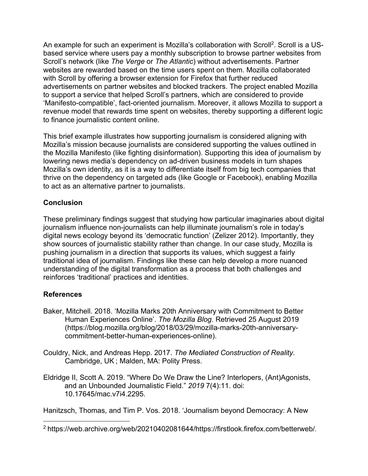An example for such an experiment is Mozilla's collaboration with Scroll<sup>2</sup>. Scroll is a USbased service where users pay a monthly subscription to browse partner websites from Scroll's network (like *The Verge* or *The Atlantic*) without advertisements. Partner websites are rewarded based on the time users spent on them. Mozilla collaborated with Scroll by offering a browser extension for Firefox that further reduced advertisements on partner websites and blocked trackers. The project enabled Mozilla to support a service that helped Scroll's partners, which are considered to provide 'Manifesto-compatible', fact-oriented journalism. Moreover, it allows Mozilla to support a revenue model that rewards time spent on websites, thereby supporting a different logic to finance journalistic content online.

This brief example illustrates how supporting journalism is considered aligning with Mozilla's mission because journalists are considered supporting the values outlined in the Mozilla Manifesto (like fighting disinformation). Supporting this idea of journalism by lowering news media's dependency on ad-driven business models in turn shapes Mozilla's own identity, as it is a way to differentiate itself from big tech companies that thrive on the dependency on targeted ads (like Google or Facebook), enabling Mozilla to act as an alternative partner to journalists.

# **Conclusion**

These preliminary findings suggest that studying how particular imaginaries about digital journalism influence non-journalists can help illuminate journalism's role in today's digital news ecology beyond its 'democratic function' (Zelizer 2012). Importantly, they show sources of journalistic stability rather than change. In our case study, Mozilla is pushing journalism in a direction that supports its values, which suggest a fairly traditional idea of journalism. Findings like these can help develop a more nuanced understanding of the digital transformation as a process that both challenges and reinforces 'traditional' practices and identities.

#### **References**

- Baker, Mitchell. 2018. 'Mozilla Marks 20th Anniversary with Commitment to Better Human Experiences Online'. *The Mozilla Blog*. Retrieved 25 August 2019 (https://blog.mozilla.org/blog/2018/03/29/mozilla-marks-20th-anniversarycommitment-better-human-experiences-online).
- Couldry, Nick, and Andreas Hepp. 2017. *The Mediated Construction of Reality*. Cambridge, UK ; Malden, MA: Polity Press.
- Eldridge II, Scott A. 2019. "Where Do We Draw the Line? Interlopers, (Ant)Agonists, and an Unbounded Journalistic Field." *2019* 7(4):11. doi: 10.17645/mac.v7i4.2295.

Hanitzsch, Thomas, and Tim P. Vos. 2018. 'Journalism beyond Democracy: A New

<sup>2</sup> https://web.archive.org/web/20210402081644/https://firstlook.firefox.com/betterweb/.